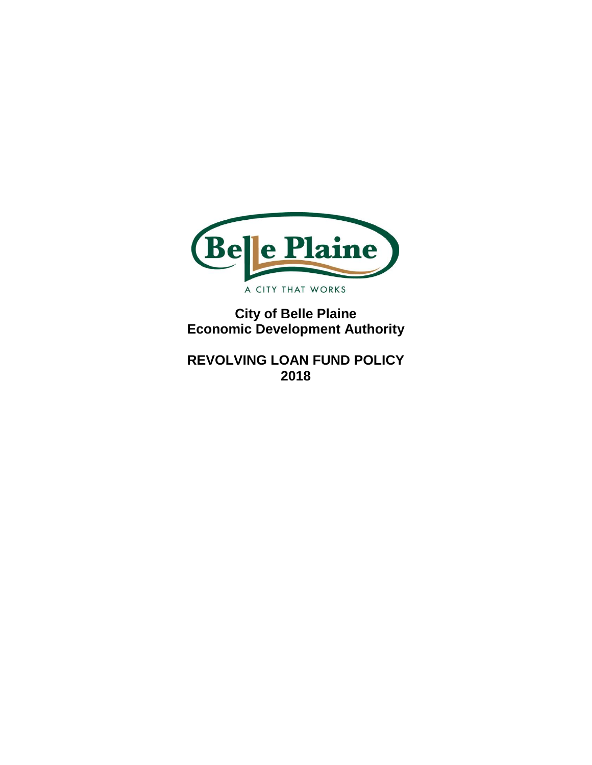

**City of Belle Plaine Economic Development Authority**

**REVOLVING LOAN FUND POLICY 2018**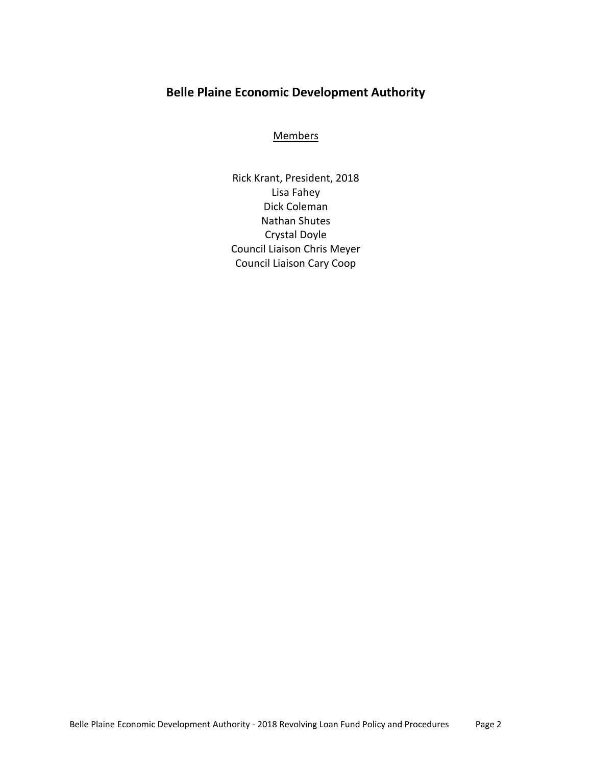# **Belle Plaine Economic Development Authority**

#### **Members**

Rick Krant, President, 2018 Lisa Fahey Dick Coleman Nathan Shutes Crystal Doyle Council Liaison Chris Meyer Council Liaison Cary Coop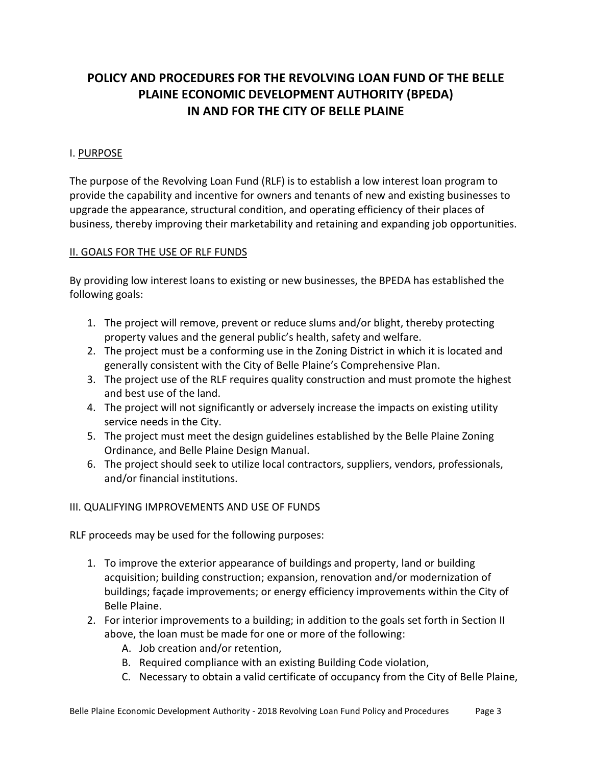# **POLICY AND PROCEDURES FOR THE REVOLVING LOAN FUND OF THE BELLE PLAINE ECONOMIC DEVELOPMENT AUTHORITY (BPEDA) IN AND FOR THE CITY OF BELLE PLAINE**

### I. PURPOSE

The purpose of the Revolving Loan Fund (RLF) is to establish a low interest loan program to provide the capability and incentive for owners and tenants of new and existing businesses to upgrade the appearance, structural condition, and operating efficiency of their places of business, thereby improving their marketability and retaining and expanding job opportunities.

### II. GOALS FOR THE USE OF RLF FUNDS

By providing low interest loans to existing or new businesses, the BPEDA has established the following goals:

- 1. The project will remove, prevent or reduce slums and/or blight, thereby protecting property values and the general public's health, safety and welfare.
- 2. The project must be a conforming use in the Zoning District in which it is located and generally consistent with the City of Belle Plaine's Comprehensive Plan.
- 3. The project use of the RLF requires quality construction and must promote the highest and best use of the land.
- 4. The project will not significantly or adversely increase the impacts on existing utility service needs in the City.
- 5. The project must meet the design guidelines established by the Belle Plaine Zoning Ordinance, and Belle Plaine Design Manual.
- 6. The project should seek to utilize local contractors, suppliers, vendors, professionals, and/or financial institutions.

### III. QUALIFYING IMPROVEMENTS AND USE OF FUNDS

RLF proceeds may be used for the following purposes:

- 1. To improve the exterior appearance of buildings and property, land or building acquisition; building construction; expansion, renovation and/or modernization of buildings; façade improvements; or energy efficiency improvements within the City of Belle Plaine.
- 2. For interior improvements to a building; in addition to the goals set forth in Section II above, the loan must be made for one or more of the following:
	- A. Job creation and/or retention,
	- B. Required compliance with an existing Building Code violation,
	- C. Necessary to obtain a valid certificate of occupancy from the City of Belle Plaine,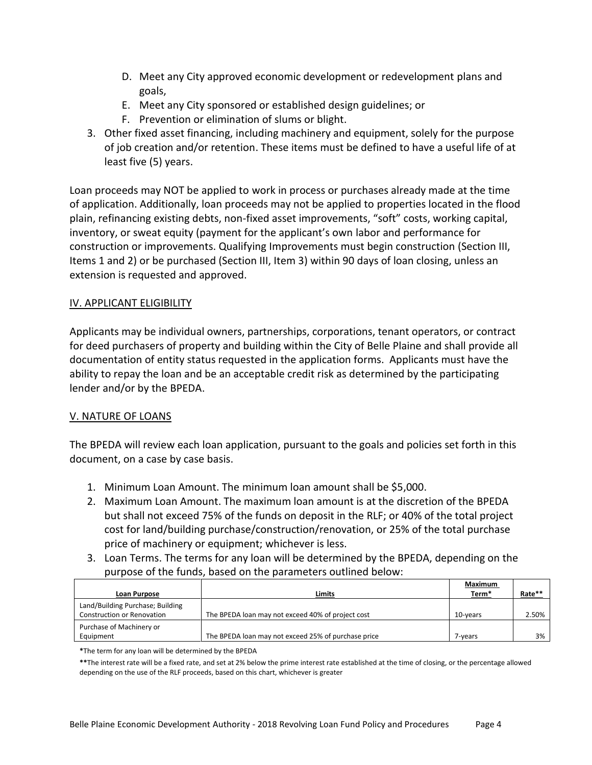- D. Meet any City approved economic development or redevelopment plans and goals,
- E. Meet any City sponsored or established design guidelines; or
- F. Prevention or elimination of slums or blight.
- 3. Other fixed asset financing, including machinery and equipment, solely for the purpose of job creation and/or retention. These items must be defined to have a useful life of at least five (5) years.

Loan proceeds may NOT be applied to work in process or purchases already made at the time of application. Additionally, loan proceeds may not be applied to properties located in the flood plain, refinancing existing debts, non-fixed asset improvements, "soft" costs, working capital, inventory, or sweat equity (payment for the applicant's own labor and performance for construction or improvements. Qualifying Improvements must begin construction (Section III, Items 1 and 2) or be purchased (Section III, Item 3) within 90 days of loan closing, unless an extension is requested and approved.

### IV. APPLICANT ELIGIBILITY

Applicants may be individual owners, partnerships, corporations, tenant operators, or contract for deed purchasers of property and building within the City of Belle Plaine and shall provide all documentation of entity status requested in the application forms. Applicants must have the ability to repay the loan and be an acceptable credit risk as determined by the participating lender and/or by the BPEDA.

### V. NATURE OF LOANS

The BPEDA will review each loan application, pursuant to the goals and policies set forth in this document, on a case by case basis.

- 1. Minimum Loan Amount. The minimum loan amount shall be \$5,000.
- 2. Maximum Loan Amount. The maximum loan amount is at the discretion of the BPEDA but shall not exceed 75% of the funds on deposit in the RLF; or 40% of the total project cost for land/building purchase/construction/renovation, or 25% of the total purchase price of machinery or equipment; whichever is less.
- 3. Loan Terms. The terms for any loan will be determined by the BPEDA, depending on the purpose of the funds, based on the parameters outlined below:

|                                                                       |                                                     | Maximum  |        |
|-----------------------------------------------------------------------|-----------------------------------------------------|----------|--------|
| Loan Purpose                                                          | Limits                                              | Term*    | Rate** |
| Land/Building Purchase; Building<br><b>Construction or Renovation</b> | The BPEDA loan may not exceed 40% of project cost   | 10-years | 2.50%  |
|                                                                       |                                                     |          |        |
| Purchase of Machinery or                                              |                                                     |          |        |
| Equipment                                                             | The BPEDA loan may not exceed 25% of purchase price | 7-vears  | 3%     |

**\***The term for any loan will be determined by the BPEDA

**\*\***The interest rate will be a fixed rate, and set at 2% below the prime interest rate established at the time of closing, or the percentage allowed depending on the use of the RLF proceeds, based on this chart, whichever is greater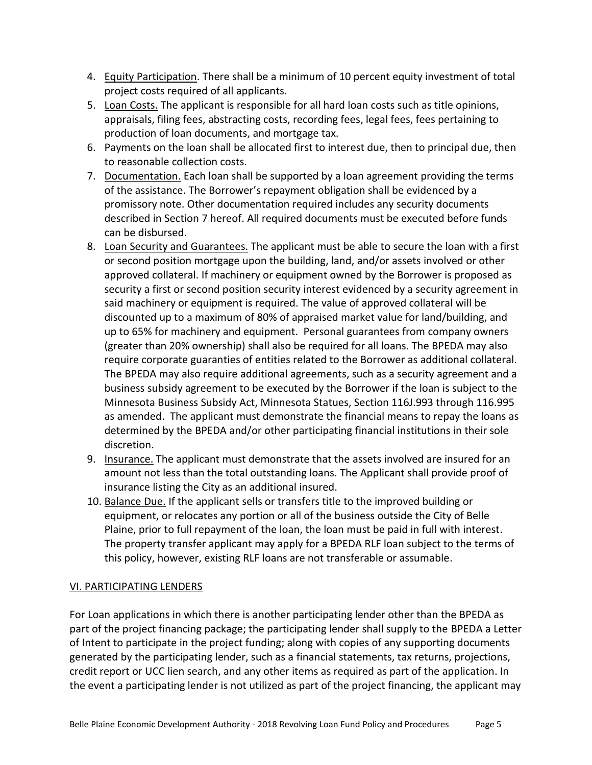- 4. Equity Participation. There shall be a minimum of 10 percent equity investment of total project costs required of all applicants.
- 5. Loan Costs. The applicant is responsible for all hard loan costs such as title opinions, appraisals, filing fees, abstracting costs, recording fees, legal fees, fees pertaining to production of loan documents, and mortgage tax.
- 6. Payments on the loan shall be allocated first to interest due, then to principal due, then to reasonable collection costs.
- 7. Documentation. Each loan shall be supported by a loan agreement providing the terms of the assistance. The Borrower's repayment obligation shall be evidenced by a promissory note. Other documentation required includes any security documents described in Section 7 hereof. All required documents must be executed before funds can be disbursed.
- 8. Loan Security and Guarantees. The applicant must be able to secure the loan with a first or second position mortgage upon the building, land, and/or assets involved or other approved collateral. If machinery or equipment owned by the Borrower is proposed as security a first or second position security interest evidenced by a security agreement in said machinery or equipment is required. The value of approved collateral will be discounted up to a maximum of 80% of appraised market value for land/building, and up to 65% for machinery and equipment. Personal guarantees from company owners (greater than 20% ownership) shall also be required for all loans. The BPEDA may also require corporate guaranties of entities related to the Borrower as additional collateral. The BPEDA may also require additional agreements, such as a security agreement and a business subsidy agreement to be executed by the Borrower if the loan is subject to the Minnesota Business Subsidy Act, Minnesota Statues, Section 116J.993 through 116.995 as amended. The applicant must demonstrate the financial means to repay the loans as determined by the BPEDA and/or other participating financial institutions in their sole discretion.
- 9. Insurance. The applicant must demonstrate that the assets involved are insured for an amount not less than the total outstanding loans. The Applicant shall provide proof of insurance listing the City as an additional insured.
- 10. Balance Due. If the applicant sells or transfers title to the improved building or equipment, or relocates any portion or all of the business outside the City of Belle Plaine, prior to full repayment of the loan, the loan must be paid in full with interest. The property transfer applicant may apply for a BPEDA RLF loan subject to the terms of this policy, however, existing RLF loans are not transferable or assumable.

### VI. PARTICIPATING LENDERS

For Loan applications in which there is another participating lender other than the BPEDA as part of the project financing package; the participating lender shall supply to the BPEDA a Letter of Intent to participate in the project funding; along with copies of any supporting documents generated by the participating lender, such as a financial statements, tax returns, projections, credit report or UCC lien search, and any other items as required as part of the application. In the event a participating lender is not utilized as part of the project financing, the applicant may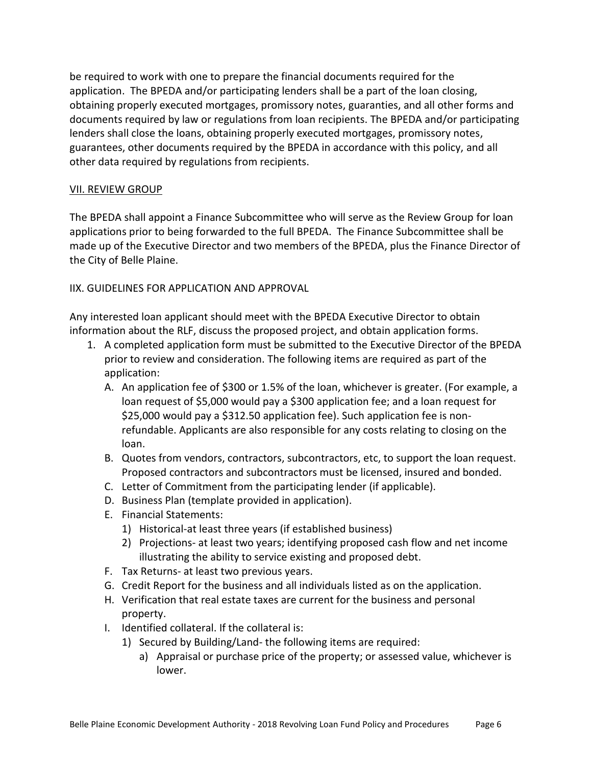be required to work with one to prepare the financial documents required for the application. The BPEDA and/or participating lenders shall be a part of the loan closing, obtaining properly executed mortgages, promissory notes, guaranties, and all other forms and documents required by law or regulations from loan recipients. The BPEDA and/or participating lenders shall close the loans, obtaining properly executed mortgages, promissory notes, guarantees, other documents required by the BPEDA in accordance with this policy, and all other data required by regulations from recipients.

### VII. REVIEW GROUP

The BPEDA shall appoint a Finance Subcommittee who will serve as the Review Group for loan applications prior to being forwarded to the full BPEDA. The Finance Subcommittee shall be made up of the Executive Director and two members of the BPEDA, plus the Finance Director of the City of Belle Plaine.

IIX. GUIDELINES FOR APPLICATION AND APPROVAL

Any interested loan applicant should meet with the BPEDA Executive Director to obtain information about the RLF, discuss the proposed project, and obtain application forms.

- 1. A completed application form must be submitted to the Executive Director of the BPEDA prior to review and consideration. The following items are required as part of the application:
	- A. An application fee of \$300 or 1.5% of the loan, whichever is greater. (For example, a loan request of \$5,000 would pay a \$300 application fee; and a loan request for \$25,000 would pay a \$312.50 application fee). Such application fee is nonrefundable. Applicants are also responsible for any costs relating to closing on the loan.
	- B. Quotes from vendors, contractors, subcontractors, etc, to support the loan request. Proposed contractors and subcontractors must be licensed, insured and bonded.
	- C. Letter of Commitment from the participating lender (if applicable).
	- D. Business Plan (template provided in application).
	- E. Financial Statements:
		- 1) Historical-at least three years (if established business)
		- 2) Projections- at least two years; identifying proposed cash flow and net income illustrating the ability to service existing and proposed debt.
	- F. Tax Returns- at least two previous years.
	- G. Credit Report for the business and all individuals listed as on the application.
	- H. Verification that real estate taxes are current for the business and personal property.
	- I. Identified collateral. If the collateral is:
		- 1) Secured by Building/Land- the following items are required:
			- a) Appraisal or purchase price of the property; or assessed value, whichever is lower.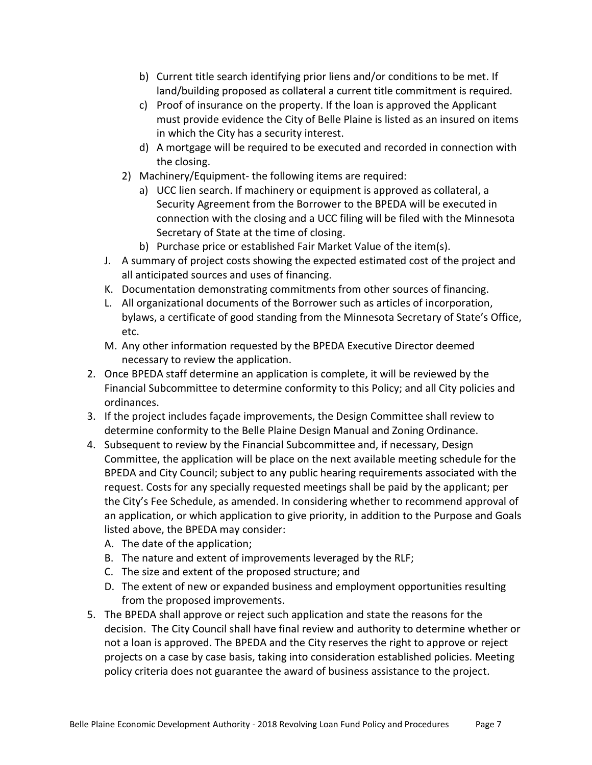- b) Current title search identifying prior liens and/or conditions to be met. If land/building proposed as collateral a current title commitment is required.
- c) Proof of insurance on the property. If the loan is approved the Applicant must provide evidence the City of Belle Plaine is listed as an insured on items in which the City has a security interest.
- d) A mortgage will be required to be executed and recorded in connection with the closing.
- 2) Machinery/Equipment- the following items are required:
	- a) UCC lien search. If machinery or equipment is approved as collateral, a Security Agreement from the Borrower to the BPEDA will be executed in connection with the closing and a UCC filing will be filed with the Minnesota Secretary of State at the time of closing.
	- b) Purchase price or established Fair Market Value of the item(s).
- J. A summary of project costs showing the expected estimated cost of the project and all anticipated sources and uses of financing.
- K. Documentation demonstrating commitments from other sources of financing.
- L. All organizational documents of the Borrower such as articles of incorporation, bylaws, a certificate of good standing from the Minnesota Secretary of State's Office, etc.
- M. Any other information requested by the BPEDA Executive Director deemed necessary to review the application.
- 2. Once BPEDA staff determine an application is complete, it will be reviewed by the Financial Subcommittee to determine conformity to this Policy; and all City policies and ordinances.
- 3. If the project includes façade improvements, the Design Committee shall review to determine conformity to the Belle Plaine Design Manual and Zoning Ordinance.
- 4. Subsequent to review by the Financial Subcommittee and, if necessary, Design Committee, the application will be place on the next available meeting schedule for the BPEDA and City Council; subject to any public hearing requirements associated with the request. Costs for any specially requested meetings shall be paid by the applicant; per the City's Fee Schedule, as amended. In considering whether to recommend approval of an application, or which application to give priority, in addition to the Purpose and Goals listed above, the BPEDA may consider:
	- A. The date of the application;
	- B. The nature and extent of improvements leveraged by the RLF;
	- C. The size and extent of the proposed structure; and
	- D. The extent of new or expanded business and employment opportunities resulting from the proposed improvements.
- 5. The BPEDA shall approve or reject such application and state the reasons for the decision. The City Council shall have final review and authority to determine whether or not a loan is approved. The BPEDA and the City reserves the right to approve or reject projects on a case by case basis, taking into consideration established policies. Meeting policy criteria does not guarantee the award of business assistance to the project.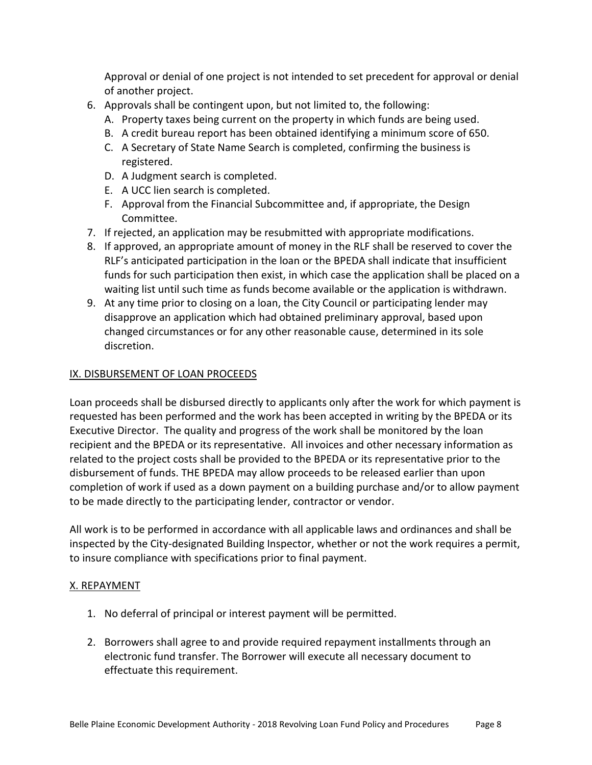Approval or denial of one project is not intended to set precedent for approval or denial of another project.

- 6. Approvals shall be contingent upon, but not limited to, the following:
	- A. Property taxes being current on the property in which funds are being used.
	- B. A credit bureau report has been obtained identifying a minimum score of 650.
	- C. A Secretary of State Name Search is completed, confirming the business is registered.
	- D. A Judgment search is completed.
	- E. A UCC lien search is completed.
	- F. Approval from the Financial Subcommittee and, if appropriate, the Design Committee.
- 7. If rejected, an application may be resubmitted with appropriate modifications.
- 8. If approved, an appropriate amount of money in the RLF shall be reserved to cover the RLF's anticipated participation in the loan or the BPEDA shall indicate that insufficient funds for such participation then exist, in which case the application shall be placed on a waiting list until such time as funds become available or the application is withdrawn.
- 9. At any time prior to closing on a loan, the City Council or participating lender may disapprove an application which had obtained preliminary approval, based upon changed circumstances or for any other reasonable cause, determined in its sole discretion.

# IX. DISBURSEMENT OF LOAN PROCEEDS

Loan proceeds shall be disbursed directly to applicants only after the work for which payment is requested has been performed and the work has been accepted in writing by the BPEDA or its Executive Director. The quality and progress of the work shall be monitored by the loan recipient and the BPEDA or its representative. All invoices and other necessary information as related to the project costs shall be provided to the BPEDA or its representative prior to the disbursement of funds. THE BPEDA may allow proceeds to be released earlier than upon completion of work if used as a down payment on a building purchase and/or to allow payment to be made directly to the participating lender, contractor or vendor.

All work is to be performed in accordance with all applicable laws and ordinances and shall be inspected by the City-designated Building Inspector, whether or not the work requires a permit, to insure compliance with specifications prior to final payment.

### X. REPAYMENT

- 1. No deferral of principal or interest payment will be permitted.
- 2. Borrowers shall agree to and provide required repayment installments through an electronic fund transfer. The Borrower will execute all necessary document to effectuate this requirement.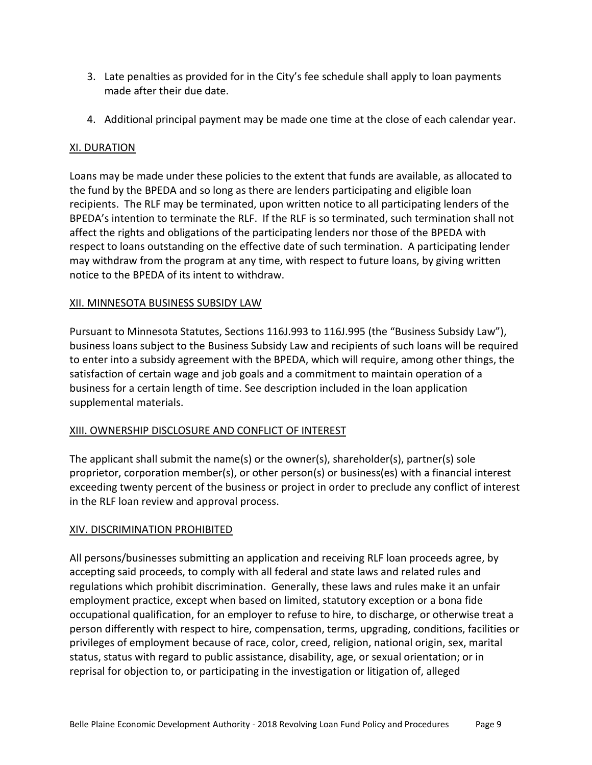- 3. Late penalties as provided for in the City's fee schedule shall apply to loan payments made after their due date.
- 4. Additional principal payment may be made one time at the close of each calendar year.

### XI. DURATION

Loans may be made under these policies to the extent that funds are available, as allocated to the fund by the BPEDA and so long as there are lenders participating and eligible loan recipients. The RLF may be terminated, upon written notice to all participating lenders of the BPEDA's intention to terminate the RLF. If the RLF is so terminated, such termination shall not affect the rights and obligations of the participating lenders nor those of the BPEDA with respect to loans outstanding on the effective date of such termination. A participating lender may withdraw from the program at any time, with respect to future loans, by giving written notice to the BPEDA of its intent to withdraw.

### XII. MINNESOTA BUSINESS SUBSIDY LAW

Pursuant to Minnesota Statutes, Sections 116J.993 to 116J.995 (the "Business Subsidy Law"), business loans subject to the Business Subsidy Law and recipients of such loans will be required to enter into a subsidy agreement with the BPEDA, which will require, among other things, the satisfaction of certain wage and job goals and a commitment to maintain operation of a business for a certain length of time. See description included in the loan application supplemental materials.

### XIII. OWNERSHIP DISCLOSURE AND CONFLICT OF INTEREST

The applicant shall submit the name(s) or the owner(s), shareholder(s), partner(s) sole proprietor, corporation member(s), or other person(s) or business(es) with a financial interest exceeding twenty percent of the business or project in order to preclude any conflict of interest in the RLF loan review and approval process.

### XIV. DISCRIMINATION PROHIBITED

All persons/businesses submitting an application and receiving RLF loan proceeds agree, by accepting said proceeds, to comply with all federal and state laws and related rules and regulations which prohibit discrimination. Generally, these laws and rules make it an unfair employment practice, except when based on limited, statutory exception or a bona fide occupational qualification, for an employer to refuse to hire, to discharge, or otherwise treat a person differently with respect to hire, compensation, terms, upgrading, conditions, facilities or privileges of employment because of race, color, creed, religion, national origin, sex, marital status, status with regard to public assistance, disability, age, or sexual orientation; or in reprisal for objection to, or participating in the investigation or litigation of, alleged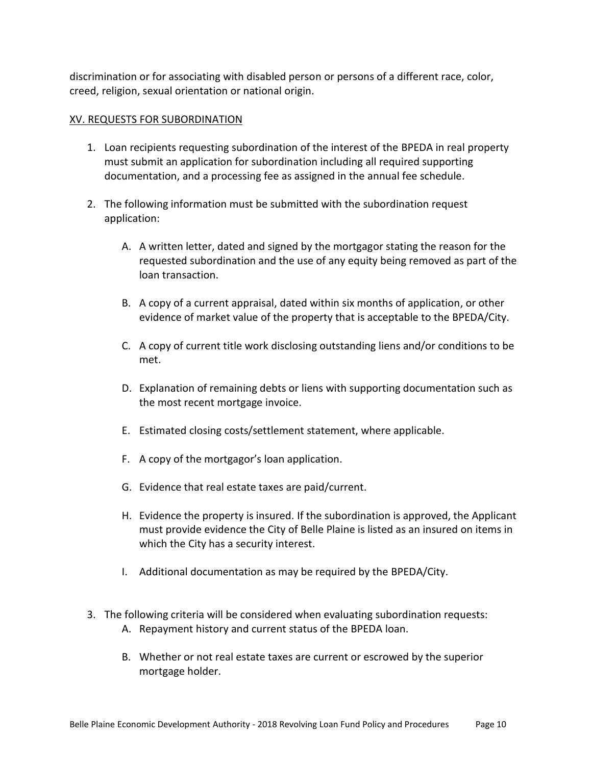discrimination or for associating with disabled person or persons of a different race, color, creed, religion, sexual orientation or national origin.

### XV. REQUESTS FOR SUBORDINATION

- 1. Loan recipients requesting subordination of the interest of the BPEDA in real property must submit an application for subordination including all required supporting documentation, and a processing fee as assigned in the annual fee schedule.
- 2. The following information must be submitted with the subordination request application:
	- A. A written letter, dated and signed by the mortgagor stating the reason for the requested subordination and the use of any equity being removed as part of the loan transaction.
	- B. A copy of a current appraisal, dated within six months of application, or other evidence of market value of the property that is acceptable to the BPEDA/City.
	- C. A copy of current title work disclosing outstanding liens and/or conditions to be met.
	- D. Explanation of remaining debts or liens with supporting documentation such as the most recent mortgage invoice.
	- E. Estimated closing costs/settlement statement, where applicable.
	- F. A copy of the mortgagor's loan application.
	- G. Evidence that real estate taxes are paid/current.
	- H. Evidence the property is insured. If the subordination is approved, the Applicant must provide evidence the City of Belle Plaine is listed as an insured on items in which the City has a security interest.
	- I. Additional documentation as may be required by the BPEDA/City.
- 3. The following criteria will be considered when evaluating subordination requests: A. Repayment history and current status of the BPEDA loan.
	- B. Whether or not real estate taxes are current or escrowed by the superior mortgage holder.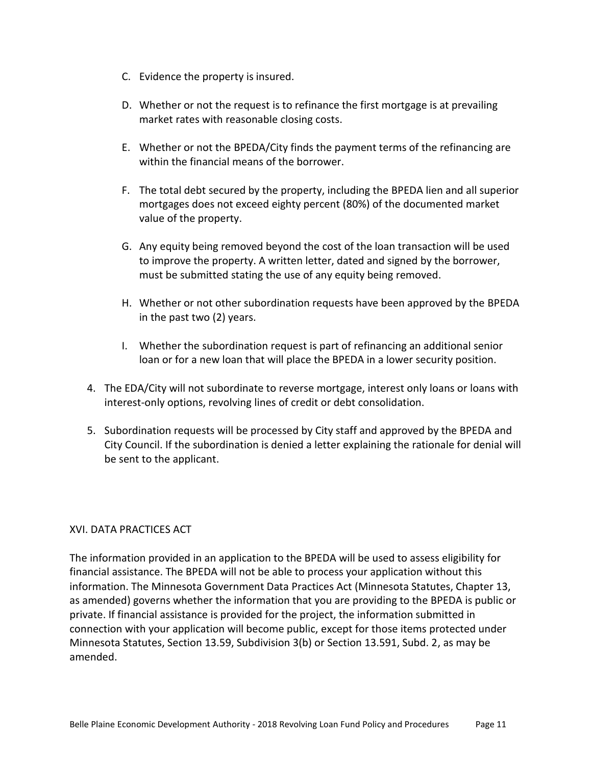- C. Evidence the property is insured.
- D. Whether or not the request is to refinance the first mortgage is at prevailing market rates with reasonable closing costs.
- E. Whether or not the BPEDA/City finds the payment terms of the refinancing are within the financial means of the borrower.
- F. The total debt secured by the property, including the BPEDA lien and all superior mortgages does not exceed eighty percent (80%) of the documented market value of the property.
- G. Any equity being removed beyond the cost of the loan transaction will be used to improve the property. A written letter, dated and signed by the borrower, must be submitted stating the use of any equity being removed.
- H. Whether or not other subordination requests have been approved by the BPEDA in the past two (2) years.
- I. Whether the subordination request is part of refinancing an additional senior loan or for a new loan that will place the BPEDA in a lower security position.
- 4. The EDA/City will not subordinate to reverse mortgage, interest only loans or loans with interest-only options, revolving lines of credit or debt consolidation.
- 5. Subordination requests will be processed by City staff and approved by the BPEDA and City Council. If the subordination is denied a letter explaining the rationale for denial will be sent to the applicant.

### XVI. DATA PRACTICES ACT

The information provided in an application to the BPEDA will be used to assess eligibility for financial assistance. The BPEDA will not be able to process your application without this information. The Minnesota Government Data Practices Act (Minnesota Statutes, Chapter 13, as amended) governs whether the information that you are providing to the BPEDA is public or private. If financial assistance is provided for the project, the information submitted in connection with your application will become public, except for those items protected under Minnesota Statutes, Section 13.59, Subdivision 3(b) or Section 13.591, Subd. 2, as may be amended.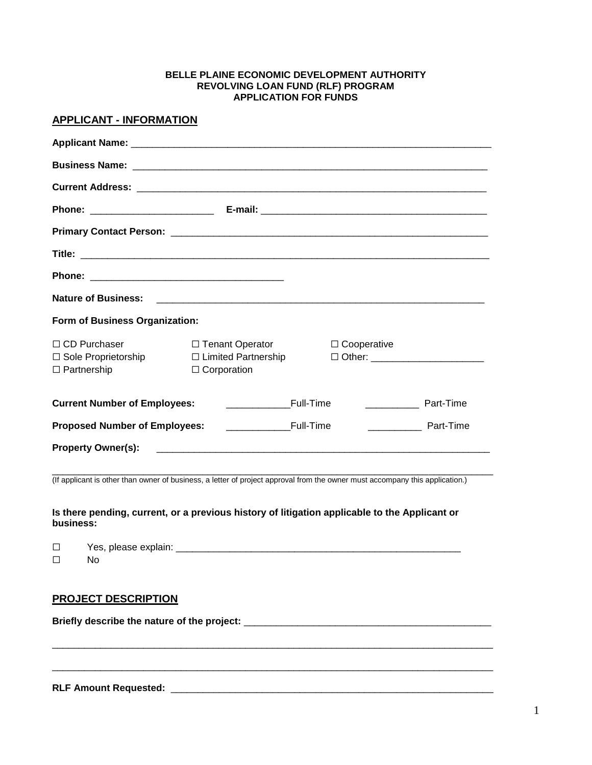#### **BELLE PLAINE ECONOMIC DEVELOPMENT AUTHORITY REVOLVING LOAN FUND (RLF) PROGRAM APPLICATION FOR FUNDS**

### **APPLICANT - INFORMATION**

| <b>Nature of Business:</b>                                                       |                                                                            |                                                                                                                       |  |
|----------------------------------------------------------------------------------|----------------------------------------------------------------------------|-----------------------------------------------------------------------------------------------------------------------|--|
| Form of Business Organization:                                                   |                                                                            |                                                                                                                       |  |
| $\Box$ CD Purchaser<br>$\Box$ Sole Proprietorship<br>$\Box$ Partnership          | $\Box$ Tenant Operator<br>$\Box$ Limited Partnership<br>$\Box$ Corporation | $\Box$ Cooperative<br>□ Other: ___________________________                                                            |  |
| <b>Current Number of Employees:</b>                                              | <b>Example 1</b> Full-Time                                                 | <b>Example 2</b> Part-Time                                                                                            |  |
| <b>Example 12 Full-Time</b><br><b>Proposed Number of Employees:</b><br>Part-Time |                                                                            |                                                                                                                       |  |
| <b>Property Owner(s):</b>                                                        |                                                                            | <u> 1980 - Jan Barat de Barat de la construcción de la construcción de la construcción de la construcción de la c</u> |  |

(If applicant is other than owner of business, a letter of project approval from the owner must accompany this application.)

**Is there pending, current, or a previous history of litigation applicable to the Applicant or business:**

| $\overline{\phantom{0}}$<br>_              | Y ≏ c<br>. |
|--------------------------------------------|------------|
| $\overline{ }$<br>$\overline{\phantom{a}}$ |            |

\_\_\_\_\_\_\_\_\_\_\_\_\_\_\_\_\_\_\_\_\_\_\_\_\_\_\_\_\_\_\_\_\_\_\_\_\_\_\_\_\_\_\_\_\_\_\_\_\_\_\_\_\_\_\_\_\_\_\_\_\_\_\_\_\_\_\_\_\_\_\_\_\_\_\_\_\_\_\_\_\_\_

\_\_\_\_\_\_\_\_\_\_\_\_\_\_\_\_\_\_\_\_\_\_\_\_\_\_\_\_\_\_\_\_\_\_\_\_\_\_\_\_\_\_\_\_\_\_\_\_\_\_\_\_\_\_\_\_\_\_\_\_\_\_\_\_\_\_\_\_\_\_\_\_\_\_\_\_\_\_\_\_\_\_

#### **PROJECT DESCRIPTION**

**Briefly describe the nature of the project:** \_\_\_\_\_\_\_\_\_\_\_\_\_\_\_\_\_\_\_\_\_\_\_\_\_\_\_\_\_\_\_\_\_\_\_\_\_\_\_\_\_\_\_\_\_\_

**RLF Amount Requested:** \_\_\_\_\_\_\_\_\_\_\_\_\_\_\_\_\_\_\_\_\_\_\_\_\_\_\_\_\_\_\_\_\_\_\_\_\_\_\_\_\_\_\_\_\_\_\_\_\_\_\_\_\_\_\_\_\_\_\_\_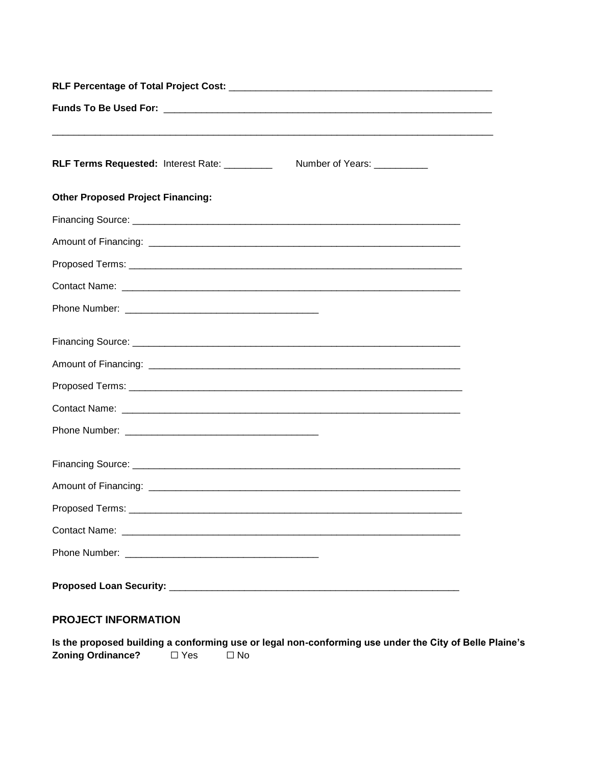| RLF Terms Requested: Interest Rate: _________ | Number of Years: __________ |  |  |
|-----------------------------------------------|-----------------------------|--|--|
| <b>Other Proposed Project Financing:</b>      |                             |  |  |
|                                               |                             |  |  |
|                                               |                             |  |  |
|                                               |                             |  |  |
|                                               |                             |  |  |
|                                               |                             |  |  |
|                                               |                             |  |  |
|                                               |                             |  |  |
|                                               |                             |  |  |
|                                               |                             |  |  |
|                                               |                             |  |  |
|                                               |                             |  |  |
|                                               |                             |  |  |
| Proposed Terms:                               |                             |  |  |
|                                               |                             |  |  |
|                                               |                             |  |  |
|                                               |                             |  |  |

# **PROJECT INFORMATION**

Is the proposed building a conforming use or legal non-conforming use under the City of Belle Plaine's Zoning Ordinance?  $\Box$  Yes  $\overline{\Box}$  No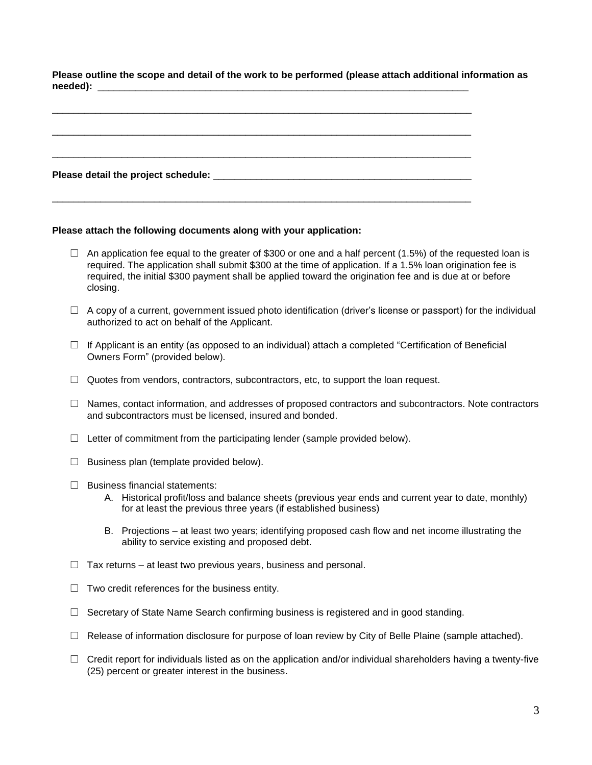**Please outline the scope and detail of the work to be performed (please attach additional information as needed):** \_\_\_\_\_\_\_\_\_\_\_\_\_\_\_\_\_\_\_\_\_\_\_\_\_\_\_\_\_\_\_\_\_\_\_\_\_\_\_\_\_\_\_\_\_\_\_\_\_\_\_\_\_\_\_\_\_\_\_\_\_\_\_\_\_\_\_\_\_

#### **Please attach the following documents along with your application:**

- $\Box$  An application fee equal to the greater of \$300 or one and a half percent (1.5%) of the requested loan is required. The application shall submit \$300 at the time of application. If a 1.5% loan origination fee is required, the initial \$300 payment shall be applied toward the origination fee and is due at or before closing.
- $\Box$  A copy of a current, government issued photo identification (driver's license or passport) for the individual authorized to act on behalf of the Applicant.
- ☐ If Applicant is an entity (as opposed to an individual) attach a completed "Certification of Beneficial Owners Form" (provided below).
- $\Box$  Quotes from vendors, contractors, subcontractors, etc, to support the loan request.
- $\Box$  Names, contact information, and addresses of proposed contractors and subcontractors. Note contractors and subcontractors must be licensed, insured and bonded.
- $\Box$  Letter of commitment from the participating lender (sample provided below).
- $\Box$  Business plan (template provided below).
- ☐ Business financial statements:
	- A. Historical profit/loss and balance sheets (previous year ends and current year to date, monthly) for at least the previous three years (if established business)
	- B. Projections at least two years; identifying proposed cash flow and net income illustrating the ability to service existing and proposed debt.
- $\Box$  Tax returns at least two previous years, business and personal.
- $\Box$  Two credit references for the business entity.
- $\Box$  Secretary of State Name Search confirming business is registered and in good standing.
- $\Box$  Release of information disclosure for purpose of loan review by City of Belle Plaine (sample attached).
- $\Box$  Credit report for individuals listed as on the application and/or individual shareholders having a twenty-five (25) percent or greater interest in the business.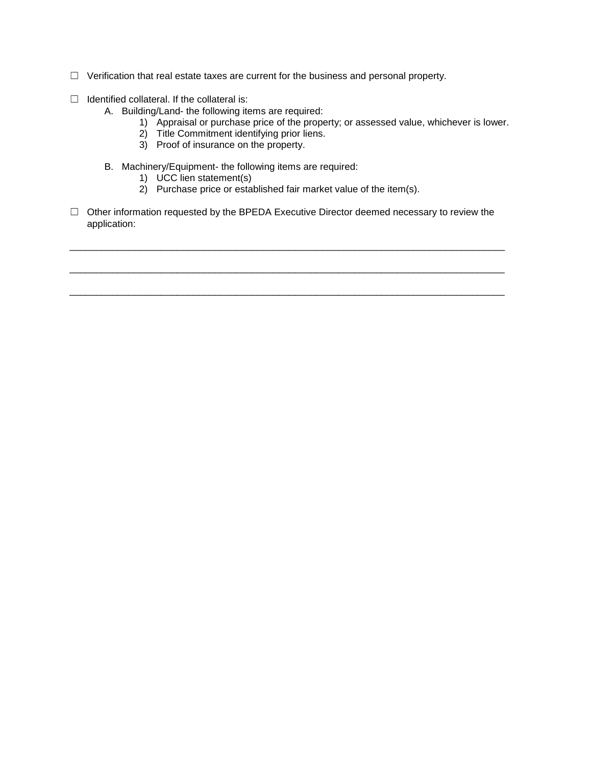- ☐ Verification that real estate taxes are current for the business and personal property.
- $\Box$  Identified collateral. If the collateral is:
	- A. Building/Land- the following items are required:
		- 1) Appraisal or purchase price of the property; or assessed value, whichever is lower.
		- 2) Title Commitment identifying prior liens.
		- 3) Proof of insurance on the property.
	- B. Machinery/Equipment- the following items are required:
		- 1) UCC lien statement(s)
		- 2) Purchase price or established fair market value of the item(s).
- □ Other information requested by the BPEDA Executive Director deemed necessary to review the application:

\_\_\_\_\_\_\_\_\_\_\_\_\_\_\_\_\_\_\_\_\_\_\_\_\_\_\_\_\_\_\_\_\_\_\_\_\_\_\_\_\_\_\_\_\_\_\_\_\_\_\_\_\_\_\_\_\_\_\_\_\_\_\_\_\_\_\_\_\_\_\_\_\_\_\_\_\_\_\_\_\_

\_\_\_\_\_\_\_\_\_\_\_\_\_\_\_\_\_\_\_\_\_\_\_\_\_\_\_\_\_\_\_\_\_\_\_\_\_\_\_\_\_\_\_\_\_\_\_\_\_\_\_\_\_\_\_\_\_\_\_\_\_\_\_\_\_\_\_\_\_\_\_\_\_\_\_\_\_\_\_\_\_

\_\_\_\_\_\_\_\_\_\_\_\_\_\_\_\_\_\_\_\_\_\_\_\_\_\_\_\_\_\_\_\_\_\_\_\_\_\_\_\_\_\_\_\_\_\_\_\_\_\_\_\_\_\_\_\_\_\_\_\_\_\_\_\_\_\_\_\_\_\_\_\_\_\_\_\_\_\_\_\_\_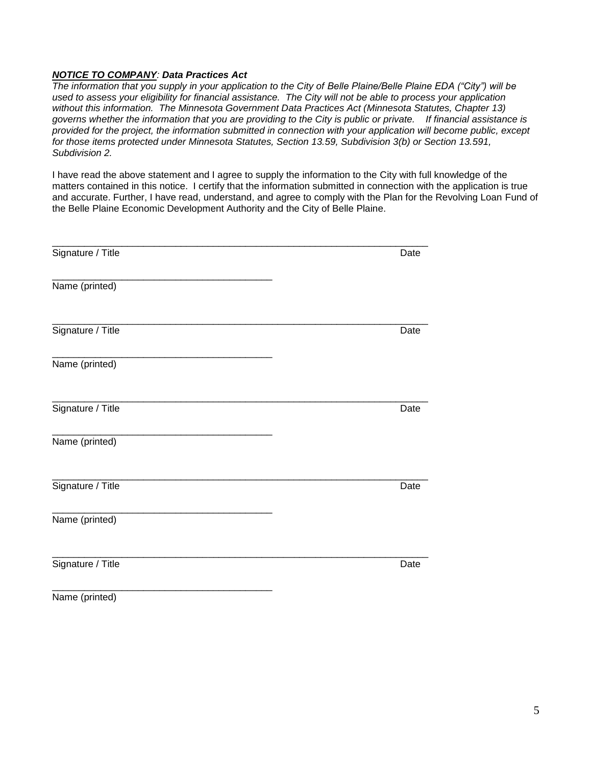#### *NOTICE TO COMPANY: Data Practices Act*

*The information that you supply in your application to the City of Belle Plaine/Belle Plaine EDA ("City") will be used to assess your eligibility for financial assistance. The City will not be able to process your application without this information. The Minnesota Government Data Practices Act (Minnesota Statutes, Chapter 13) governs whether the information that you are providing to the City is public or private. If financial assistance is provided for the project, the information submitted in connection with your application will become public, except for those items protected under Minnesota Statutes, Section 13.59, Subdivision 3(b) or Section 13.591, Subdivision 2.* 

I have read the above statement and I agree to supply the information to the City with full knowledge of the matters contained in this notice. I certify that the information submitted in connection with the application is true and accurate. Further, I have read, understand, and agree to comply with the Plan for the Revolving Loan Fund of the Belle Plaine Economic Development Authority and the City of Belle Plaine.

| Date |
|------|
|      |
| Date |
|      |
| Date |
|      |
| Date |
|      |
| Date |
|      |

Name (printed)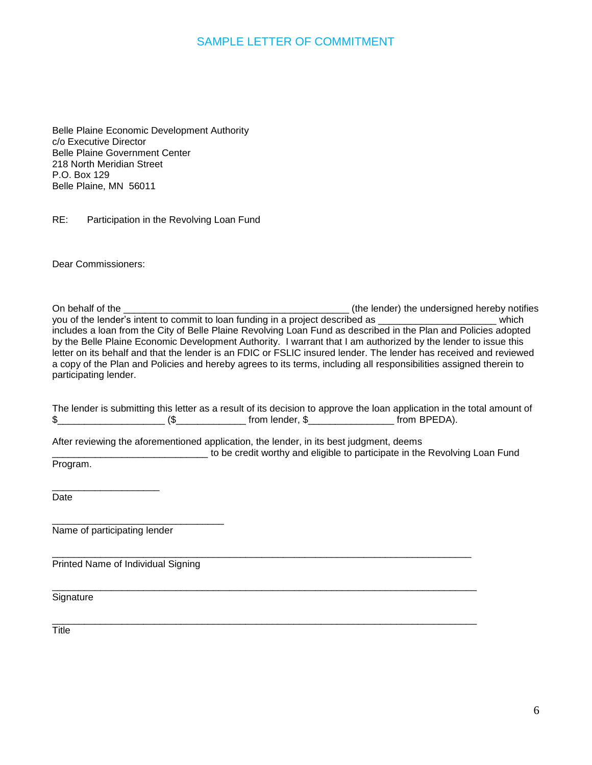## SAMPLE LETTER OF COMMITMENT

Belle Plaine Economic Development Authority c/o Executive Director Belle Plaine Government Center 218 North Meridian Street P.O. Box 129 Belle Plaine, MN 56011

RE: Participation in the Revolving Loan Fund

Dear Commissioners:

On behalf of the \_\_\_\_\_\_\_\_\_\_\_\_\_\_\_\_\_\_\_\_\_\_\_\_\_\_\_\_\_\_\_\_\_\_\_\_\_\_\_\_\_\_ (the lender) the undersigned hereby notifies you of the lender's intent to commit to loan funding in a project described as \_\_\_\_\_\_\_\_\_\_\_\_\_\_\_\_\_\_\_\_\_\_\_\_\_ which includes a loan from the City of Belle Plaine Revolving Loan Fund as described in the Plan and Policies adopted by the Belle Plaine Economic Development Authority. I warrant that I am authorized by the lender to issue this letter on its behalf and that the lender is an FDIC or FSLIC insured lender. The lender has received and reviewed a copy of the Plan and Policies and hereby agrees to its terms, including all responsibilities assigned therein to participating lender.

|  | The lender is submitting this letter as a result of its decision to approve the loan application in the total amount of |              |
|--|-------------------------------------------------------------------------------------------------------------------------|--------------|
|  | from lender. \$                                                                                                         | from BPEDA). |

After reviewing the aforementioned application, the lender, in its best judgment, deems

\_\_\_\_\_\_\_\_\_\_\_\_\_\_\_\_\_\_\_\_\_\_\_\_\_\_\_\_\_\_\_\_\_\_\_\_\_\_\_\_\_\_\_\_\_\_\_\_\_\_\_\_\_\_\_\_\_\_\_\_\_\_\_\_\_\_\_\_\_\_\_\_\_\_\_\_\_\_

\_\_\_\_\_\_\_\_\_\_\_\_\_\_\_\_\_\_\_\_\_\_\_\_\_\_\_\_\_\_\_\_\_\_\_\_\_\_\_\_\_\_\_\_\_\_\_\_\_\_\_\_\_\_\_\_\_\_\_\_\_\_\_\_\_\_\_\_\_\_\_\_\_\_\_\_\_\_\_

to be credit worthy and eligible to participate in the Revolving Loan Fund Program.

**Date** 

\_\_\_\_\_\_\_\_\_\_\_\_\_\_\_\_\_\_\_\_\_\_\_\_\_\_\_\_\_\_\_\_ Name of participating lender

\_\_\_\_\_\_\_\_\_\_\_\_\_\_\_\_\_\_\_\_

Printed Name of Individual Signing

**Signature** 

\_\_\_\_\_\_\_\_\_\_\_\_\_\_\_\_\_\_\_\_\_\_\_\_\_\_\_\_\_\_\_\_\_\_\_\_\_\_\_\_\_\_\_\_\_\_\_\_\_\_\_\_\_\_\_\_\_\_\_\_\_\_\_\_\_\_\_\_\_\_\_\_\_\_\_\_\_\_\_ **Title**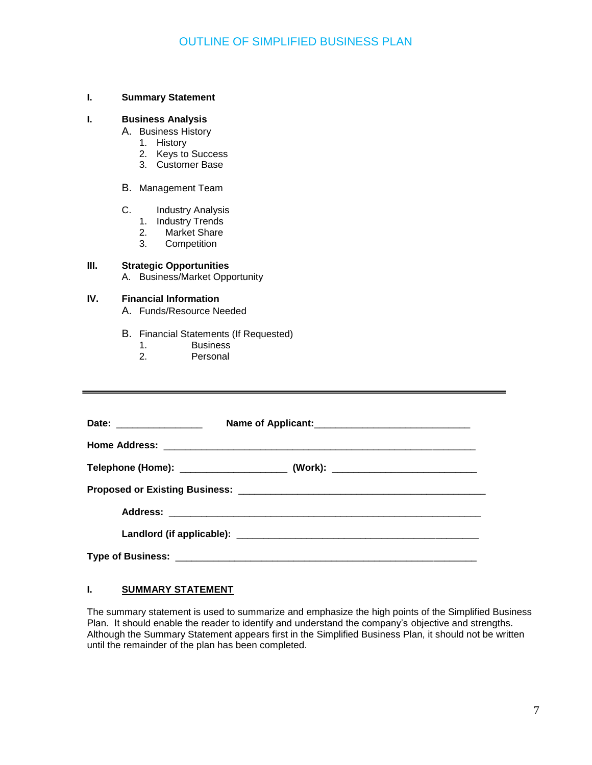#### **I. Summary Statement**

### **I. Business Analysis**

- A. Business History
	- 1. History
	- 2. Keys to Success
	- 3. Customer Base

#### B. Management Team

- C. Industry Analysis
	- 1. Industry Trends
	- 2. Market Share
	- 3. Competition

### **III. Strategic Opportunities**

A. Business/Market Opportunity

### **IV. Financial Information**

- A. Funds/Resource Needed
- B. Financial Statements (If Requested)
	- 1. Business<br>2. Personal
	- Personal

| Date: _________________ |                                                                                  |  |
|-------------------------|----------------------------------------------------------------------------------|--|
|                         |                                                                                  |  |
|                         | Telephone (Home): ____________________________ (Work): _________________________ |  |
|                         |                                                                                  |  |
|                         |                                                                                  |  |
|                         |                                                                                  |  |
|                         |                                                                                  |  |

#### **I. SUMMARY STATEMENT**

The summary statement is used to summarize and emphasize the high points of the Simplified Business Plan. It should enable the reader to identify and understand the company's objective and strengths. Although the Summary Statement appears first in the Simplified Business Plan, it should not be written until the remainder of the plan has been completed.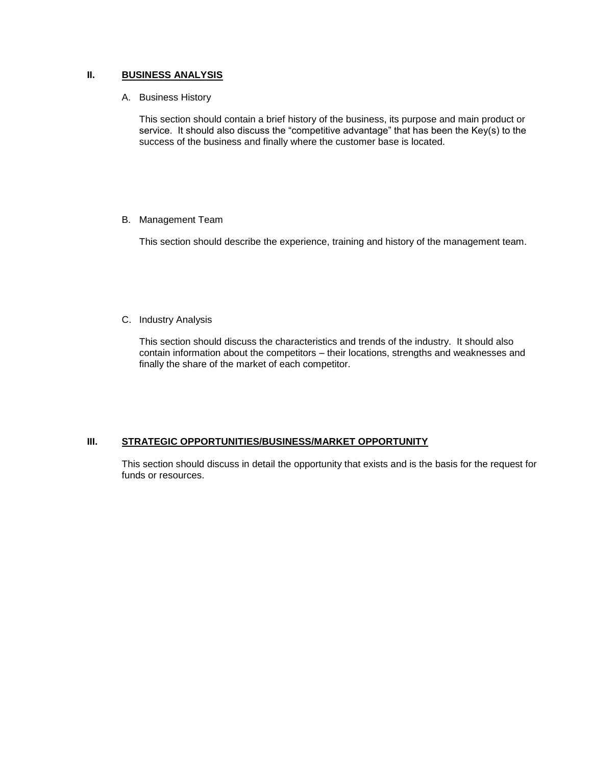#### **II. BUSINESS ANALYSIS**

A. Business History

This section should contain a brief history of the business, its purpose and main product or service. It should also discuss the "competitive advantage" that has been the Key(s) to the success of the business and finally where the customer base is located.

#### B. Management Team

This section should describe the experience, training and history of the management team.

### C. Industry Analysis

This section should discuss the characteristics and trends of the industry. It should also contain information about the competitors – their locations, strengths and weaknesses and finally the share of the market of each competitor.

#### **III. STRATEGIC OPPORTUNITIES/BUSINESS/MARKET OPPORTUNITY**

This section should discuss in detail the opportunity that exists and is the basis for the request for funds or resources.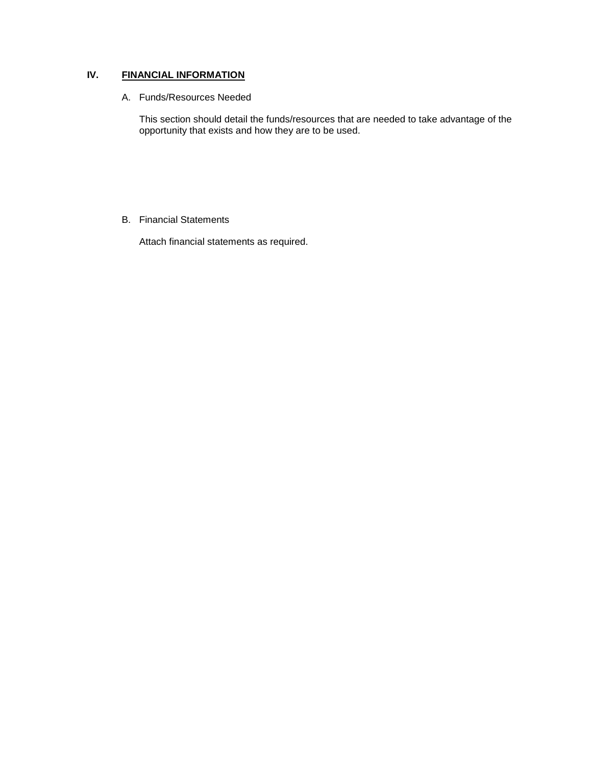### **IV. FINANCIAL INFORMATION**

#### A. Funds/Resources Needed

This section should detail the funds/resources that are needed to take advantage of the opportunity that exists and how they are to be used.

#### B. Financial Statements

Attach financial statements as required.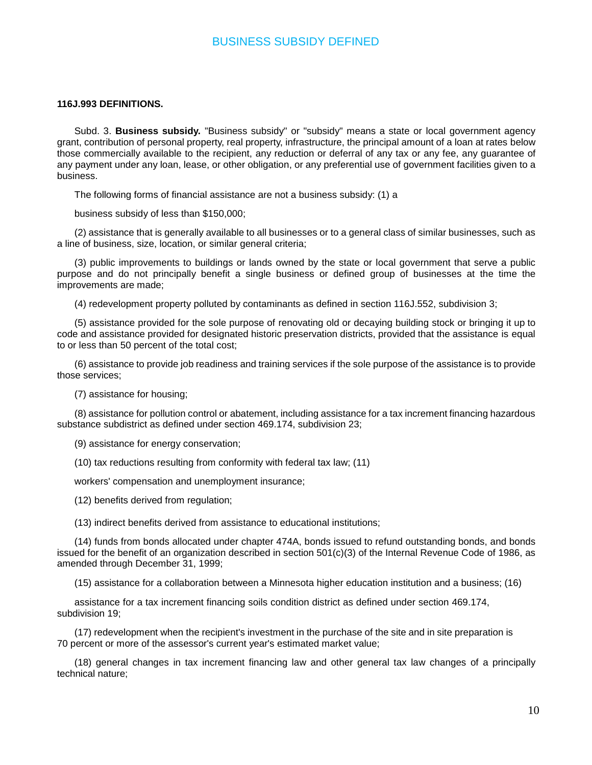### BUSINESS SUBSIDY DEFINED

#### **116J.993 DEFINITIONS.**

Subd. 3. **Business subsidy.** "Business subsidy" or "subsidy" means a state or local government agency grant, contribution of personal property, real property, infrastructure, the principal amount of a loan at rates below those commercially available to the recipient, any reduction or deferral of any tax or any fee, any guarantee of any payment under any loan, lease, or other obligation, or any preferential use of government facilities given to a business.

The following forms of financial assistance are not a business subsidy: (1) a

business subsidy of less than \$150,000;

(2) assistance that is generally available to all businesses or to a general class of similar businesses, such as a line of business, size, location, or similar general criteria;

(3) public improvements to buildings or lands owned by the state or local government that serve a public purpose and do not principally benefit a single business or defined group of businesses at the time the improvements are made;

(4) redevelopment property polluted by contaminants as defined in section 116J.552, subdivision 3;

(5) assistance provided for the sole purpose of renovating old or decaying building stock or bringing it up to code and assistance provided for designated historic preservation districts, provided that the assistance is equal to or less than 50 percent of the total cost;

(6) assistance to provide job readiness and training services if the sole purpose of the assistance is to provide those services;

(7) assistance for housing;

(8) assistance for pollution control or abatement, including assistance for a tax increment financing hazardous substance subdistrict as defined under section 469.174, subdivision 23;

(9) assistance for energy conservation;

(10) tax reductions resulting from conformity with federal tax law; (11)

workers' compensation and unemployment insurance;

(12) benefits derived from regulation;

(13) indirect benefits derived from assistance to educational institutions;

(14) funds from bonds allocated under chapter 474A, bonds issued to refund outstanding bonds, and bonds issued for the benefit of an organization described in section 501(c)(3) of the Internal Revenue Code of 1986, as amended through December 31, 1999;

(15) assistance for a collaboration between a Minnesota higher education institution and a business; (16)

assistance for a tax increment financing soils condition district as defined under section 469.174, subdivision 19;

(17) redevelopment when the recipient's investment in the purchase of the site and in site preparation is 70 percent or more of the assessor's current year's estimated market value;

(18) general changes in tax increment financing law and other general tax law changes of a principally technical nature;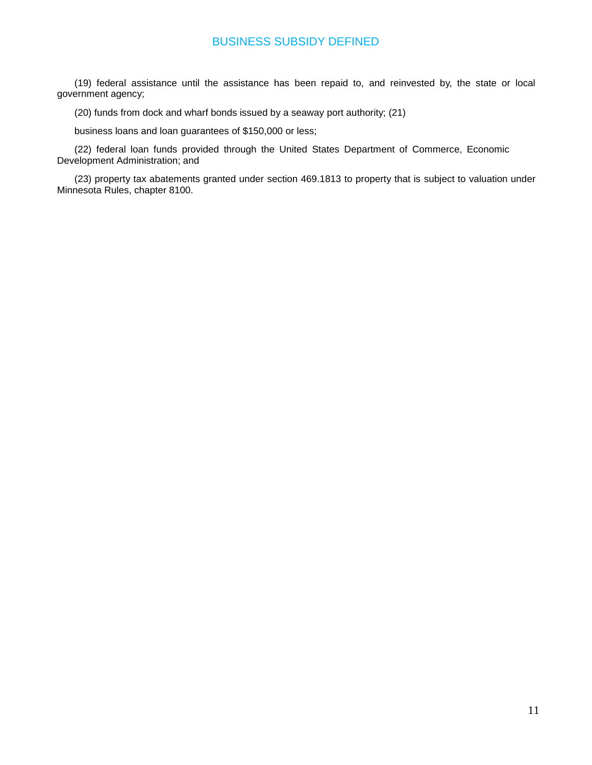# BUSINESS SUBSIDY DEFINED

(19) federal assistance until the assistance has been repaid to, and reinvested by, the state or local government agency;

(20) funds from dock and wharf bonds issued by a seaway port authority; (21)

business loans and loan guarantees of \$150,000 or less;

(22) federal loan funds provided through the United States Department of Commerce, Economic Development Administration; and

(23) property tax abatements granted under section 469.1813 to property that is subject to valuation under Minnesota Rules, chapter 8100.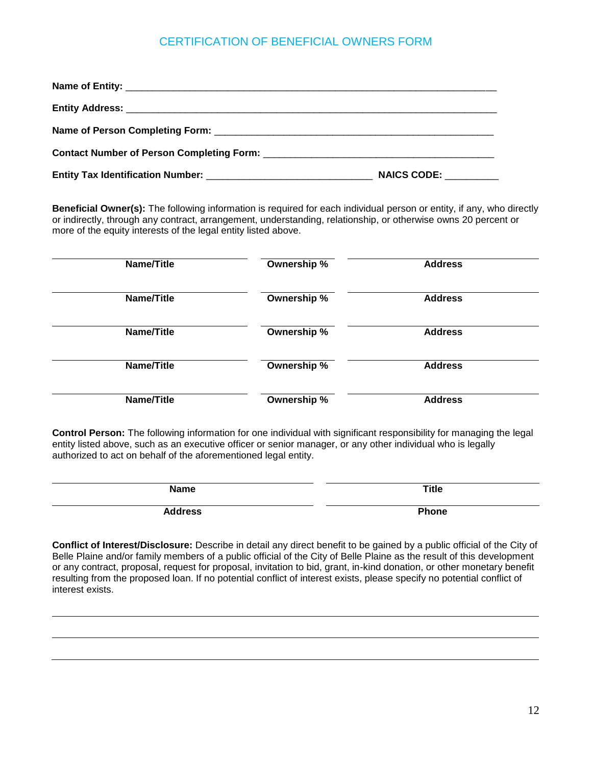# CERTIFICATION OF BENEFICIAL OWNERS FORM

| <b>NAICS CODE:</b> |
|--------------------|

**Beneficial Owner(s):** The following information is required for each individual person or entity, if any, who directly or indirectly, through any contract, arrangement, understanding, relationship, or otherwise owns 20 percent or more of the equity interests of the legal entity listed above.

| Name/Title | Ownership % | <b>Address</b> |
|------------|-------------|----------------|
| Name/Title | Ownership % | <b>Address</b> |
| Name/Title | Ownership % | <b>Address</b> |
| Name/Title | Ownership % | <b>Address</b> |
| Name/Title | Ownership % | <b>Address</b> |

**Control Person:** The following information for one individual with significant responsibility for managing the legal entity listed above, such as an executive officer or senior manager, or any other individual who is legally authorized to act on behalf of the aforementioned legal entity.

| <b>Name</b>    | <b>Title</b> |
|----------------|--------------|
| <b>Address</b> | <b>Phone</b> |

**Conflict of Interest/Disclosure:** Describe in detail any direct benefit to be gained by a public official of the City of Belle Plaine and/or family members of a public official of the City of Belle Plaine as the result of this development or any contract, proposal, request for proposal, invitation to bid, grant, in-kind donation, or other monetary benefit resulting from the proposed loan. If no potential conflict of interest exists, please specify no potential conflict of interest exists.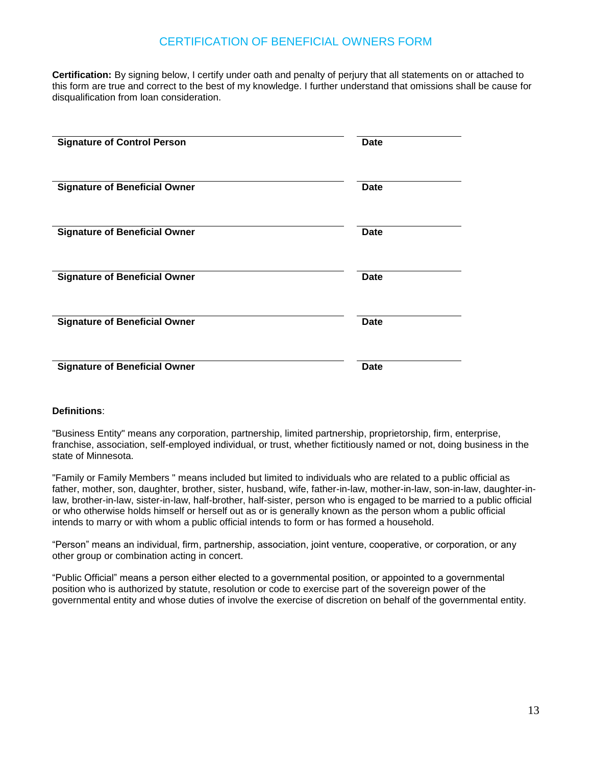# CERTIFICATION OF BENEFICIAL OWNERS FORM

**Certification:** By signing below, I certify under oath and penalty of perjury that all statements on or attached to this form are true and correct to the best of my knowledge. I further understand that omissions shall be cause for disqualification from loan consideration.

| <b>Signature of Control Person</b>   | <b>Date</b> |
|--------------------------------------|-------------|
| <b>Signature of Beneficial Owner</b> | <b>Date</b> |
| <b>Signature of Beneficial Owner</b> | Date        |
| <b>Signature of Beneficial Owner</b> | Date        |
| <b>Signature of Beneficial Owner</b> | <b>Date</b> |
| <b>Signature of Beneficial Owner</b> | <b>Date</b> |

#### **Definitions**:

"Business Entity" means any corporation, partnership, limited partnership, proprietorship, firm, enterprise, franchise, association, self-employed individual, or trust, whether fictitiously named or not, doing business in the state of Minnesota.

"Family or Family Members " means included but limited to individuals who are related to a public official as father, mother, son, daughter, brother, sister, husband, wife, father-in-law, mother-in-law, son-in-law, daughter-inlaw, brother-in-law, sister-in-law, half-brother, half-sister, person who is engaged to be married to a public official or who otherwise holds himself or herself out as or is generally known as the person whom a public official intends to marry or with whom a public official intends to form or has formed a household.

"Person" means an individual, firm, partnership, association, joint venture, cooperative, or corporation, or any other group or combination acting in concert.

"Public Official" means a person either elected to a governmental position, or appointed to a governmental position who is authorized by statute, resolution or code to exercise part of the sovereign power of the governmental entity and whose duties of involve the exercise of discretion on behalf of the governmental entity.